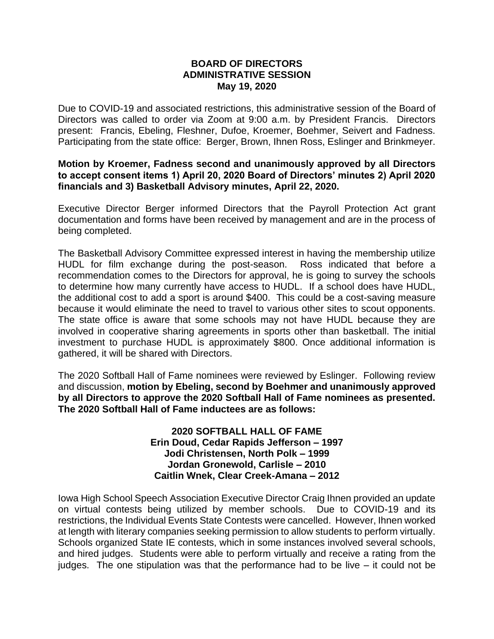## **BOARD OF DIRECTORS ADMINISTRATIVE SESSION May 19, 2020**

Due to COVID-19 and associated restrictions, this administrative session of the Board of Directors was called to order via Zoom at 9:00 a.m. by President Francis. Directors present: Francis, Ebeling, Fleshner, Dufoe, Kroemer, Boehmer, Seivert and Fadness. Participating from the state office: Berger, Brown, Ihnen Ross, Eslinger and Brinkmeyer.

## **Motion by Kroemer, Fadness second and unanimously approved by all Directors to accept consent items 1) April 20, 2020 Board of Directors' minutes 2) April 2020 financials and 3) Basketball Advisory minutes, April 22, 2020.**

Executive Director Berger informed Directors that the Payroll Protection Act grant documentation and forms have been received by management and are in the process of being completed.

The Basketball Advisory Committee expressed interest in having the membership utilize HUDL for film exchange during the post-season. Ross indicated that before a recommendation comes to the Directors for approval, he is going to survey the schools to determine how many currently have access to HUDL. If a school does have HUDL, the additional cost to add a sport is around \$400. This could be a cost-saving measure because it would eliminate the need to travel to various other sites to scout opponents. The state office is aware that some schools may not have HUDL because they are involved in cooperative sharing agreements in sports other than basketball. The initial investment to purchase HUDL is approximately \$800. Once additional information is gathered, it will be shared with Directors.

The 2020 Softball Hall of Fame nominees were reviewed by Eslinger. Following review and discussion, **motion by Ebeling, second by Boehmer and unanimously approved by all Directors to approve the 2020 Softball Hall of Fame nominees as presented. The 2020 Softball Hall of Fame inductees are as follows:**

## **2020 SOFTBALL HALL OF FAME Erin Doud, Cedar Rapids Jefferson – 1997 Jodi Christensen, North Polk – 1999 Jordan Gronewold, Carlisle – 2010 Caitlin Wnek, Clear Creek-Amana – 2012**

Iowa High School Speech Association Executive Director Craig Ihnen provided an update on virtual contests being utilized by member schools. Due to COVID-19 and its restrictions, the Individual Events State Contests were cancelled. However, Ihnen worked at length with literary companies seeking permission to allow students to perform virtually. Schools organized State IE contests, which in some instances involved several schools, and hired judges. Students were able to perform virtually and receive a rating from the judges. The one stipulation was that the performance had to be live – it could not be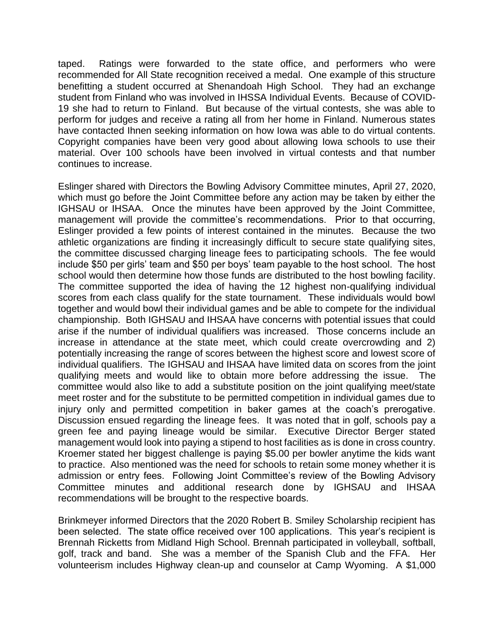taped. Ratings were forwarded to the state office, and performers who were recommended for All State recognition received a medal. One example of this structure benefitting a student occurred at Shenandoah High School. They had an exchange student from Finland who was involved in IHSSA Individual Events. Because of COVID-19 she had to return to Finland. But because of the virtual contests, she was able to perform for judges and receive a rating all from her home in Finland. Numerous states have contacted Ihnen seeking information on how Iowa was able to do virtual contents. Copyright companies have been very good about allowing Iowa schools to use their material. Over 100 schools have been involved in virtual contests and that number continues to increase.

Eslinger shared with Directors the Bowling Advisory Committee minutes, April 27, 2020, which must go before the Joint Committee before any action may be taken by either the IGHSAU or IHSAA. Once the minutes have been approved by the Joint Committee, management will provide the committee's recommendations. Prior to that occurring, Eslinger provided a few points of interest contained in the minutes. Because the two athletic organizations are finding it increasingly difficult to secure state qualifying sites, the committee discussed charging lineage fees to participating schools. The fee would include \$50 per girls' team and \$50 per boys' team payable to the host school. The host school would then determine how those funds are distributed to the host bowling facility. The committee supported the idea of having the 12 highest non-qualifying individual scores from each class qualify for the state tournament. These individuals would bowl together and would bowl their individual games and be able to compete for the individual championship. Both IGHSAU and IHSAA have concerns with potential issues that could arise if the number of individual qualifiers was increased. Those concerns include an increase in attendance at the state meet, which could create overcrowding and 2) potentially increasing the range of scores between the highest score and lowest score of individual qualifiers. The IGHSAU and IHSAA have limited data on scores from the joint qualifying meets and would like to obtain more before addressing the issue. The committee would also like to add a substitute position on the joint qualifying meet/state meet roster and for the substitute to be permitted competition in individual games due to injury only and permitted competition in baker games at the coach's prerogative. Discussion ensued regarding the lineage fees. It was noted that in golf, schools pay a green fee and paying lineage would be similar. Executive Director Berger stated management would look into paying a stipend to host facilities as is done in cross country. Kroemer stated her biggest challenge is paying \$5.00 per bowler anytime the kids want to practice. Also mentioned was the need for schools to retain some money whether it is admission or entry fees. Following Joint Committee's review of the Bowling Advisory Committee minutes and additional research done by IGHSAU and IHSAA recommendations will be brought to the respective boards.

Brinkmeyer informed Directors that the 2020 Robert B. Smiley Scholarship recipient has been selected. The state office received over 100 applications. This year's recipient is Brennah Ricketts from Midland High School. Brennah participated in volleyball, softball, golf, track and band. She was a member of the Spanish Club and the FFA. Her volunteerism includes Highway clean-up and counselor at Camp Wyoming. A \$1,000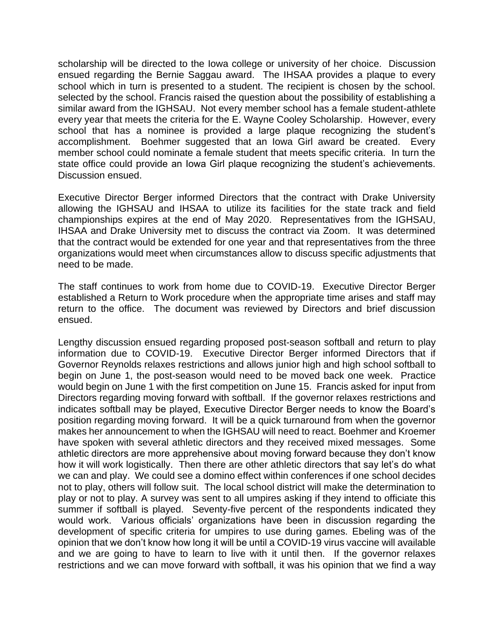scholarship will be directed to the Iowa college or university of her choice. Discussion ensued regarding the Bernie Saggau award. The IHSAA provides a plaque to every school which in turn is presented to a student. The recipient is chosen by the school. selected by the school. Francis raised the question about the possibility of establishing a similar award from the IGHSAU. Not every member school has a female student-athlete every year that meets the criteria for the E. Wayne Cooley Scholarship. However, every school that has a nominee is provided a large plaque recognizing the student's accomplishment. Boehmer suggested that an Iowa Girl award be created. Every member school could nominate a female student that meets specific criteria. In turn the state office could provide an Iowa Girl plaque recognizing the student's achievements. Discussion ensued.

Executive Director Berger informed Directors that the contract with Drake University allowing the IGHSAU and IHSAA to utilize its facilities for the state track and field championships expires at the end of May 2020. Representatives from the IGHSAU, IHSAA and Drake University met to discuss the contract via Zoom. It was determined that the contract would be extended for one year and that representatives from the three organizations would meet when circumstances allow to discuss specific adjustments that need to be made.

The staff continues to work from home due to COVID-19. Executive Director Berger established a Return to Work procedure when the appropriate time arises and staff may return to the office. The document was reviewed by Directors and brief discussion ensued.

Lengthy discussion ensued regarding proposed post-season softball and return to play information due to COVID-19. Executive Director Berger informed Directors that if Governor Reynolds relaxes restrictions and allows junior high and high school softball to begin on June 1, the post-season would need to be moved back one week. Practice would begin on June 1 with the first competition on June 15. Francis asked for input from Directors regarding moving forward with softball. If the governor relaxes restrictions and indicates softball may be played, Executive Director Berger needs to know the Board's position regarding moving forward. It will be a quick turnaround from when the governor makes her announcement to when the IGHSAU will need to react. Boehmer and Kroemer have spoken with several athletic directors and they received mixed messages. Some athletic directors are more apprehensive about moving forward because they don't know how it will work logistically. Then there are other athletic directors that say let's do what we can and play. We could see a domino effect within conferences if one school decides not to play, others will follow suit. The local school district will make the determination to play or not to play. A survey was sent to all umpires asking if they intend to officiate this summer if softball is played. Seventy-five percent of the respondents indicated they would work. Various officials' organizations have been in discussion regarding the development of specific criteria for umpires to use during games. Ebeling was of the opinion that we don't know how long it will be until a COVID-19 virus vaccine will available and we are going to have to learn to live with it until then. If the governor relaxes restrictions and we can move forward with softball, it was his opinion that we find a way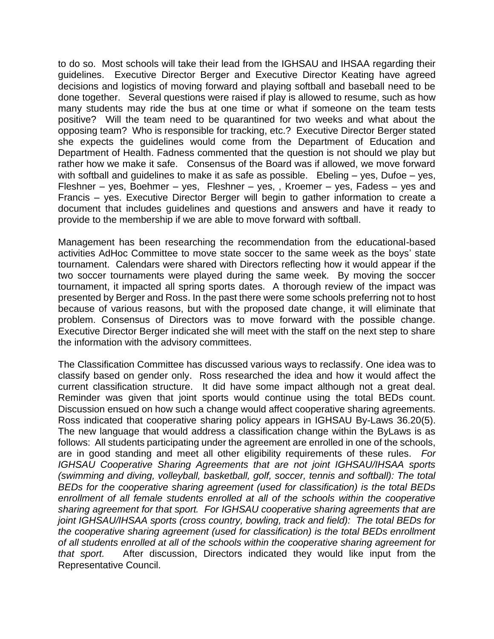to do so. Most schools will take their lead from the IGHSAU and IHSAA regarding their guidelines. Executive Director Berger and Executive Director Keating have agreed decisions and logistics of moving forward and playing softball and baseball need to be done together. Several questions were raised if play is allowed to resume, such as how many students may ride the bus at one time or what if someone on the team tests positive? Will the team need to be quarantined for two weeks and what about the opposing team? Who is responsible for tracking, etc.? Executive Director Berger stated she expects the guidelines would come from the Department of Education and Department of Health. Fadness commented that the question is not should we play but rather how we make it safe. Consensus of the Board was if allowed, we move forward with softball and quidelines to make it as safe as possible. Ebeling – yes, Dufoe – yes, Fleshner – yes, Boehmer – yes, Fleshner – yes, , Kroemer – yes, Fadess – yes and Francis – yes. Executive Director Berger will begin to gather information to create a document that includes guidelines and questions and answers and have it ready to provide to the membership if we are able to move forward with softball.

Management has been researching the recommendation from the educational-based activities AdHoc Committee to move state soccer to the same week as the boys' state tournament. Calendars were shared with Directors reflecting how it would appear if the two soccer tournaments were played during the same week. By moving the soccer tournament, it impacted all spring sports dates. A thorough review of the impact was presented by Berger and Ross. In the past there were some schools preferring not to host because of various reasons, but with the proposed date change, it will eliminate that problem. Consensus of Directors was to move forward with the possible change. Executive Director Berger indicated she will meet with the staff on the next step to share the information with the advisory committees.

The Classification Committee has discussed various ways to reclassify. One idea was to classify based on gender only. Ross researched the idea and how it would affect the current classification structure. It did have some impact although not a great deal. Reminder was given that joint sports would continue using the total BEDs count. Discussion ensued on how such a change would affect cooperative sharing agreements. Ross indicated that cooperative sharing policy appears in IGHSAU By-Laws 36.20(5). The new language that would address a classification change within the ByLaws is as follows: All students participating under the agreement are enrolled in one of the schools, are in good standing and meet all other eligibility requirements of these rules. *For IGHSAU Cooperative Sharing Agreements that are not joint IGHSAU/IHSAA sports (swimming and diving, volleyball, basketball, golf, soccer, tennis and softball): The total BEDs for the cooperative sharing agreement (used for classification) is the total BEDs enrollment of all female students enrolled at all of the schools within the cooperative sharing agreement for that sport. For IGHSAU cooperative sharing agreements that are joint IGHSAU/IHSAA sports (cross country, bowling, track and field): The total BEDs for the cooperative sharing agreement (used for classification) is the total BEDs enrollment of all students enrolled at all of the schools within the cooperative sharing agreement for that sport.* After discussion, Directors indicated they would like input from the Representative Council.